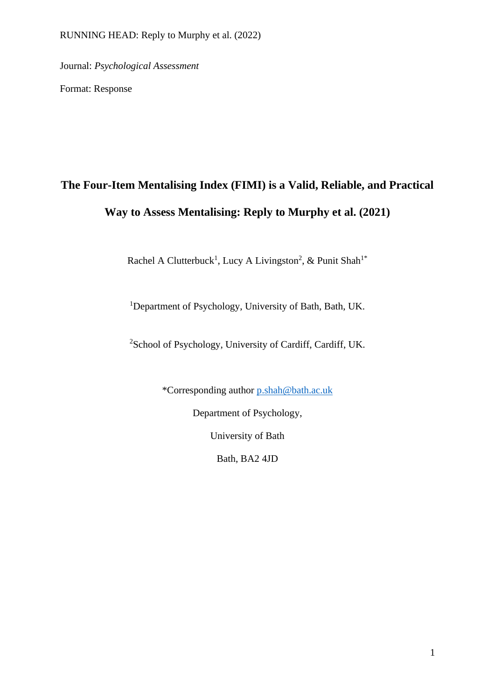Journal: *Psychological Assessment*

Format: Response

# **The Four-Item Mentalising Index (FIMI) is a Valid, Reliable, and Practical Way to Assess Mentalising: Reply to Murphy et al. (2021)**

Rachel A Clutterbuck<sup>1</sup>, Lucy A Livingston<sup>2</sup>, & Punit Shah<sup>1\*</sup>

<sup>1</sup>Department of Psychology, University of Bath, Bath, UK.

<sup>2</sup>School of Psychology, University of Cardiff, Cardiff, UK.

\*Corresponding author [p.shah@bath.ac.uk](mailto:p.shah@bath.ac.uk)

Department of Psychology,

University of Bath

Bath, BA2 4JD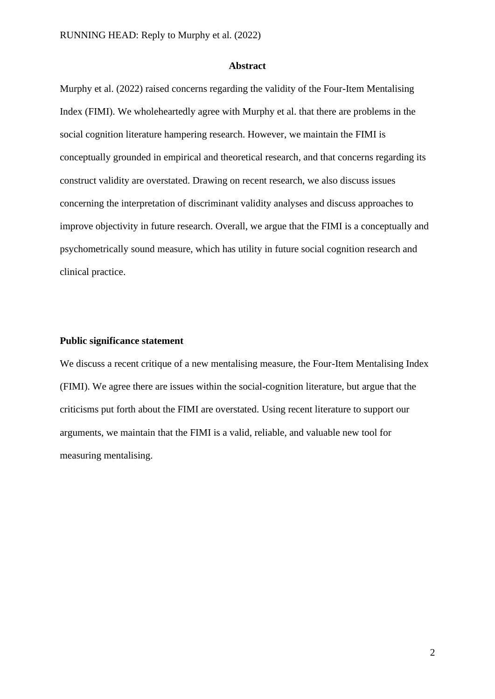#### **Abstract**

Murphy et al. (2022) raised concerns regarding the validity of the Four-Item Mentalising Index (FIMI). We wholeheartedly agree with Murphy et al. that there are problems in the social cognition literature hampering research. However, we maintain the FIMI is conceptually grounded in empirical and theoretical research, and that concerns regarding its construct validity are overstated. Drawing on recent research, we also discuss issues concerning the interpretation of discriminant validity analyses and discuss approaches to improve objectivity in future research. Overall, we argue that the FIMI is a conceptually and psychometrically sound measure, which has utility in future social cognition research and clinical practice.

## **Public significance statement**

We discuss a recent critique of a new mentalising measure, the Four-Item Mentalising Index (FIMI). We agree there are issues within the social-cognition literature, but argue that the criticisms put forth about the FIMI are overstated. Using recent literature to support our arguments, we maintain that the FIMI is a valid, reliable, and valuable new tool for measuring mentalising.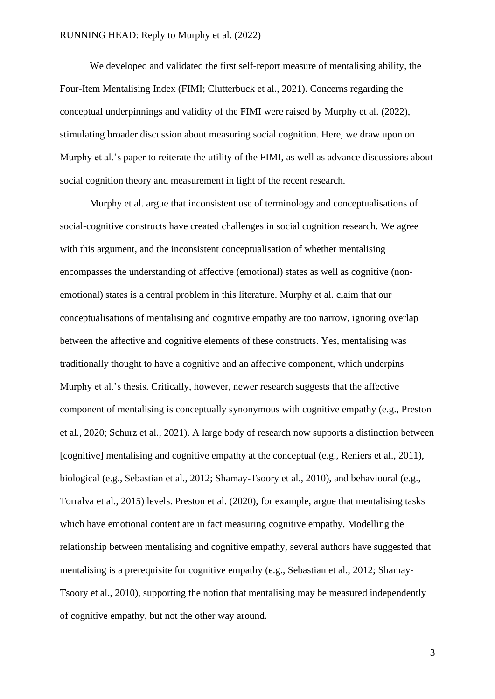We developed and validated the first self-report measure of mentalising ability, the Four-Item Mentalising Index (FIMI; Clutterbuck et al., 2021). Concerns regarding the conceptual underpinnings and validity of the FIMI were raised by Murphy et al. (2022), stimulating broader discussion about measuring social cognition. Here, we draw upon on Murphy et al.'s paper to reiterate the utility of the FIMI, as well as advance discussions about social cognition theory and measurement in light of the recent research.

Murphy et al. argue that inconsistent use of terminology and conceptualisations of social-cognitive constructs have created challenges in social cognition research. We agree with this argument, and the inconsistent conceptualisation of whether mentalising encompasses the understanding of affective (emotional) states as well as cognitive (nonemotional) states is a central problem in this literature. Murphy et al. claim that our conceptualisations of mentalising and cognitive empathy are too narrow, ignoring overlap between the affective and cognitive elements of these constructs. Yes, mentalising was traditionally thought to have a cognitive and an affective component, which underpins Murphy et al.'s thesis. Critically, however, newer research suggests that the affective component of mentalising is conceptually synonymous with cognitive empathy (e.g., Preston et al., 2020; Schurz et al., 2021). A large body of research now supports a distinction between [cognitive] mentalising and cognitive empathy at the conceptual (e.g., Reniers et al., 2011), biological (e.g., Sebastian et al., 2012; Shamay-Tsoory et al., 2010), and behavioural (e.g., Torralva et al., 2015) levels. Preston et al. (2020), for example, argue that mentalising tasks which have emotional content are in fact measuring cognitive empathy. Modelling the relationship between mentalising and cognitive empathy, several authors have suggested that mentalising is a prerequisite for cognitive empathy (e.g., Sebastian et al., 2012; Shamay-Tsoory et al., 2010), supporting the notion that mentalising may be measured independently of cognitive empathy, but not the other way around.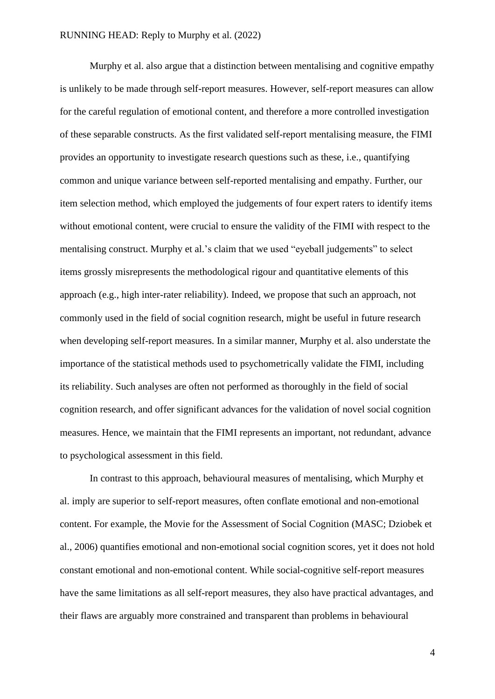Murphy et al. also argue that a distinction between mentalising and cognitive empathy is unlikely to be made through self-report measures. However, self-report measures can allow for the careful regulation of emotional content, and therefore a more controlled investigation of these separable constructs. As the first validated self-report mentalising measure, the FIMI provides an opportunity to investigate research questions such as these, i.e., quantifying common and unique variance between self-reported mentalising and empathy. Further, our item selection method, which employed the judgements of four expert raters to identify items without emotional content, were crucial to ensure the validity of the FIMI with respect to the mentalising construct. Murphy et al.'s claim that we used "eyeball judgements" to select items grossly misrepresents the methodological rigour and quantitative elements of this approach (e.g., high inter-rater reliability). Indeed, we propose that such an approach, not commonly used in the field of social cognition research, might be useful in future research when developing self-report measures. In a similar manner, Murphy et al. also understate the importance of the statistical methods used to psychometrically validate the FIMI, including its reliability. Such analyses are often not performed as thoroughly in the field of social cognition research, and offer significant advances for the validation of novel social cognition measures. Hence, we maintain that the FIMI represents an important, not redundant, advance to psychological assessment in this field.

In contrast to this approach, behavioural measures of mentalising, which Murphy et al. imply are superior to self-report measures, often conflate emotional and non-emotional content. For example, the Movie for the Assessment of Social Cognition (MASC; Dziobek et al., 2006) quantifies emotional and non-emotional social cognition scores, yet it does not hold constant emotional and non-emotional content. While social-cognitive self-report measures have the same limitations as all self-report measures, they also have practical advantages, and their flaws are arguably more constrained and transparent than problems in behavioural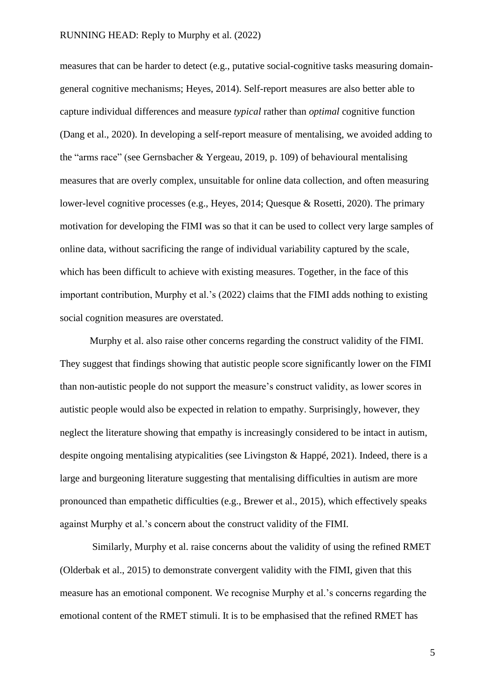measures that can be harder to detect (e.g., putative social-cognitive tasks measuring domaingeneral cognitive mechanisms; Heyes, 2014). Self-report measures are also better able to capture individual differences and measure *typical* rather than *optimal* cognitive function (Dang et al., 2020). In developing a self-report measure of mentalising, we avoided adding to the "arms race" (see Gernsbacher & Yergeau, 2019, p. 109) of behavioural mentalising measures that are overly complex, unsuitable for online data collection, and often measuring lower-level cognitive processes (e.g., Heyes, 2014; Quesque & Rosetti, 2020). The primary motivation for developing the FIMI was so that it can be used to collect very large samples of online data, without sacrificing the range of individual variability captured by the scale, which has been difficult to achieve with existing measures. Together, in the face of this important contribution, Murphy et al.'s (2022) claims that the FIMI adds nothing to existing social cognition measures are overstated.

Murphy et al. also raise other concerns regarding the construct validity of the FIMI. They suggest that findings showing that autistic people score significantly lower on the FIMI than non-autistic people do not support the measure's construct validity, as lower scores in autistic people would also be expected in relation to empathy. Surprisingly, however, they neglect the literature showing that empathy is increasingly considered to be intact in autism, despite ongoing mentalising atypicalities (see Livingston & Happé, 2021). Indeed, there is a large and burgeoning literature suggesting that mentalising difficulties in autism are more pronounced than empathetic difficulties (e.g., Brewer et al., 2015), which effectively speaks against Murphy et al.'s concern about the construct validity of the FIMI.

Similarly, Murphy et al. raise concerns about the validity of using the refined RMET (Olderbak et al., 2015) to demonstrate convergent validity with the FIMI, given that this measure has an emotional component. We recognise Murphy et al.'s concerns regarding the emotional content of the RMET stimuli. It is to be emphasised that the refined RMET has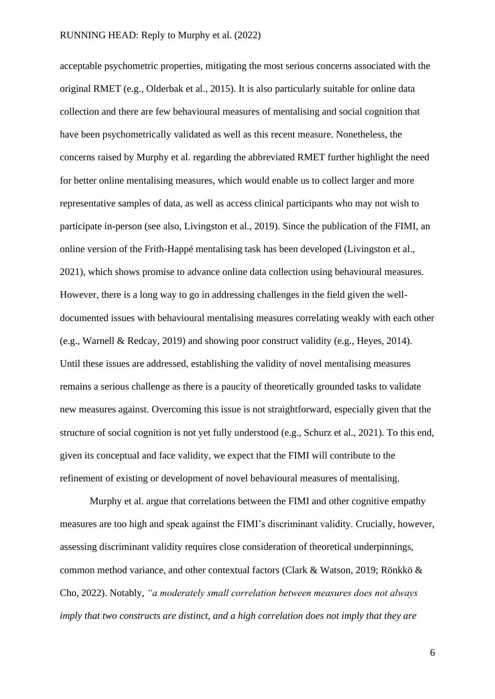acceptable psychometric properties, mitigating the most serious concerns associated with the original RMET (e.g., Olderbak et al., 2015). It is also particularly suitable for online data collection and there are few behavioural measures of mentalising and social cognition that have been psychometrically validated as well as this recent measure. Nonetheless, the concerns raised by Murphy et al. regarding the abbreviated RMET further highlight the need for better online mentalising measures, which would enable us to collect larger and more representative samples of data, as well as access clinical participants who may not wish to participate in-person (see also, Livingston et al., 2019). Since the publication of the FIMI, an online version of the Frith-Happé mentalising task has been developed (Livingston et al., 2021), which shows promise to advance online data collection using behavioural measures. However, there is a long way to go in addressing challenges in the field given the welldocumented issues with behavioural mentalising measures correlating weakly with each other (e.g., Warnell & Redcay, 2019) and showing poor construct validity (e.g., Heyes, 2014). Until these issues are addressed, establishing the validity of novel mentalising measures remains a serious challenge as there is a paucity of theoretically grounded tasks to validate new measures against. Overcoming this issue is not straightforward, especially given that the structure of social cognition is not yet fully understood (e.g., Schurz et al., 2021). To this end, given its conceptual and face validity, we expect that the FIMI will contribute to the refinement of existing or development of novel behavioural measures of mentalising.

Murphy et al. argue that correlations between the FIMI and other cognitive empathy measures are too high and speak against the FIMI's discriminant validity. Crucially, however, assessing discriminant validity requires close consideration of theoretical underpinnings, common method variance, and other contextual factors (Clark & Watson, 2019; Rönkkö & Cho, 2022). Notably, *"a moderately small correlation between measures does not always imply that two constructs are distinct, and a high correlation does not imply that they are*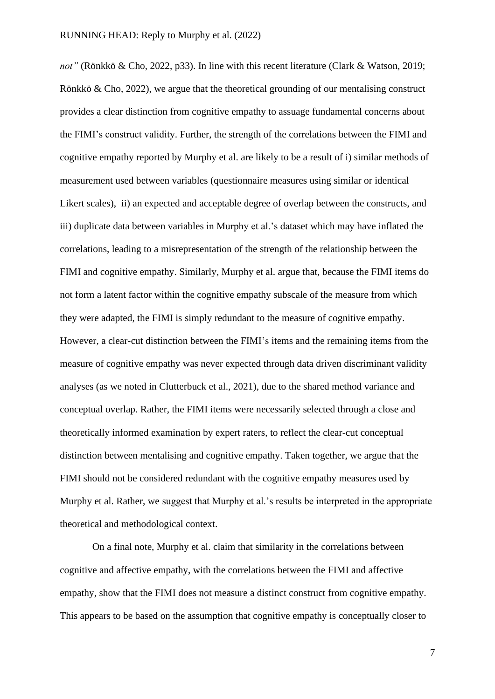*not"* (Rönkkö & Cho, 2022, p33). In line with this recent literature (Clark & Watson, 2019; Rönkkö & Cho, 2022), we argue that the theoretical grounding of our mentalising construct provides a clear distinction from cognitive empathy to assuage fundamental concerns about the FIMI's construct validity. Further, the strength of the correlations between the FIMI and cognitive empathy reported by Murphy et al. are likely to be a result of i) similar methods of measurement used between variables (questionnaire measures using similar or identical Likert scales), ii) an expected and acceptable degree of overlap between the constructs, and iii) duplicate data between variables in Murphy et al.'s dataset which may have inflated the correlations, leading to a misrepresentation of the strength of the relationship between the FIMI and cognitive empathy. Similarly, Murphy et al. argue that, because the FIMI items do not form a latent factor within the cognitive empathy subscale of the measure from which they were adapted, the FIMI is simply redundant to the measure of cognitive empathy. However, a clear-cut distinction between the FIMI's items and the remaining items from the measure of cognitive empathy was never expected through data driven discriminant validity analyses (as we noted in Clutterbuck et al., 2021), due to the shared method variance and conceptual overlap. Rather, the FIMI items were necessarily selected through a close and theoretically informed examination by expert raters, to reflect the clear-cut conceptual distinction between mentalising and cognitive empathy. Taken together, we argue that the FIMI should not be considered redundant with the cognitive empathy measures used by Murphy et al. Rather, we suggest that Murphy et al.'s results be interpreted in the appropriate theoretical and methodological context.

On a final note, Murphy et al. claim that similarity in the correlations between cognitive and affective empathy, with the correlations between the FIMI and affective empathy, show that the FIMI does not measure a distinct construct from cognitive empathy. This appears to be based on the assumption that cognitive empathy is conceptually closer to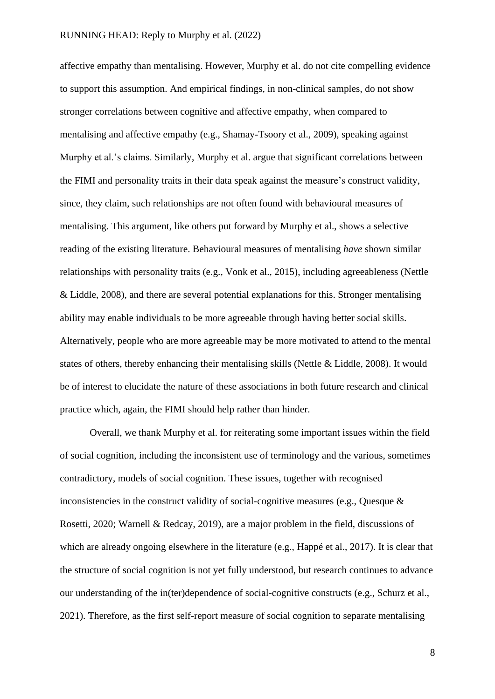affective empathy than mentalising. However, Murphy et al. do not cite compelling evidence to support this assumption. And empirical findings, in non-clinical samples, do not show stronger correlations between cognitive and affective empathy, when compared to mentalising and affective empathy (e.g., Shamay-Tsoory et al., 2009), speaking against Murphy et al.'s claims. Similarly, Murphy et al. argue that significant correlations between the FIMI and personality traits in their data speak against the measure's construct validity, since, they claim, such relationships are not often found with behavioural measures of mentalising. This argument, like others put forward by Murphy et al., shows a selective reading of the existing literature. Behavioural measures of mentalising *have* shown similar relationships with personality traits (e.g., Vonk et al., 2015), including agreeableness (Nettle & Liddle, 2008), and there are several potential explanations for this. Stronger mentalising ability may enable individuals to be more agreeable through having better social skills. Alternatively, people who are more agreeable may be more motivated to attend to the mental states of others, thereby enhancing their mentalising skills (Nettle & Liddle, 2008). It would be of interest to elucidate the nature of these associations in both future research and clinical practice which, again, the FIMI should help rather than hinder.

Overall, we thank Murphy et al. for reiterating some important issues within the field of social cognition, including the inconsistent use of terminology and the various, sometimes contradictory, models of social cognition. These issues, together with recognised inconsistencies in the construct validity of social-cognitive measures (e.g., Quesque & Rosetti, 2020; Warnell & Redcay, 2019), are a major problem in the field, discussions of which are already ongoing elsewhere in the literature (e.g., Happé et al., 2017). It is clear that the structure of social cognition is not yet fully understood, but research continues to advance our understanding of the in(ter)dependence of social-cognitive constructs (e.g., Schurz et al., 2021). Therefore, as the first self-report measure of social cognition to separate mentalising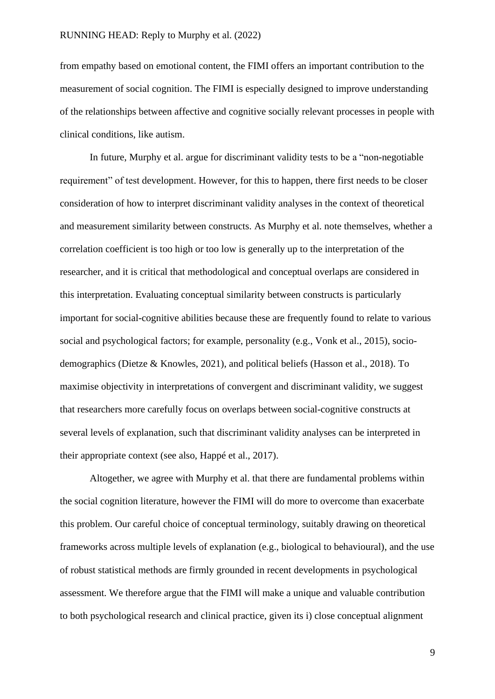from empathy based on emotional content, the FIMI offers an important contribution to the measurement of social cognition. The FIMI is especially designed to improve understanding of the relationships between affective and cognitive socially relevant processes in people with clinical conditions, like autism.

In future, Murphy et al. argue for discriminant validity tests to be a "non-negotiable requirement" of test development. However, for this to happen, there first needs to be closer consideration of how to interpret discriminant validity analyses in the context of theoretical and measurement similarity between constructs. As Murphy et al. note themselves, whether a correlation coefficient is too high or too low is generally up to the interpretation of the researcher, and it is critical that methodological and conceptual overlaps are considered in this interpretation. Evaluating conceptual similarity between constructs is particularly important for social-cognitive abilities because these are frequently found to relate to various social and psychological factors; for example, personality (e.g., Vonk et al., 2015), sociodemographics (Dietze & Knowles, 2021), and political beliefs (Hasson et al., 2018). To maximise objectivity in interpretations of convergent and discriminant validity, we suggest that researchers more carefully focus on overlaps between social-cognitive constructs at several levels of explanation, such that discriminant validity analyses can be interpreted in their appropriate context (see also, Happé et al., 2017).

Altogether, we agree with Murphy et al. that there are fundamental problems within the social cognition literature, however the FIMI will do more to overcome than exacerbate this problem. Our careful choice of conceptual terminology, suitably drawing on theoretical frameworks across multiple levels of explanation (e.g., biological to behavioural), and the use of robust statistical methods are firmly grounded in recent developments in psychological assessment. We therefore argue that the FIMI will make a unique and valuable contribution to both psychological research and clinical practice, given its i) close conceptual alignment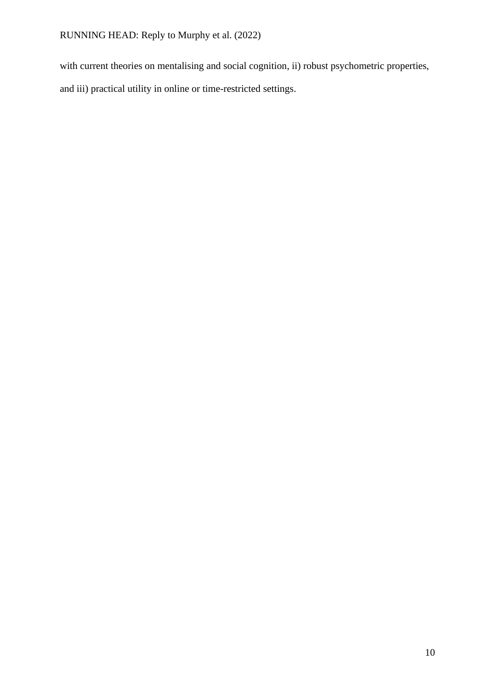with current theories on mentalising and social cognition, ii) robust psychometric properties,

and iii) practical utility in online or time-restricted settings.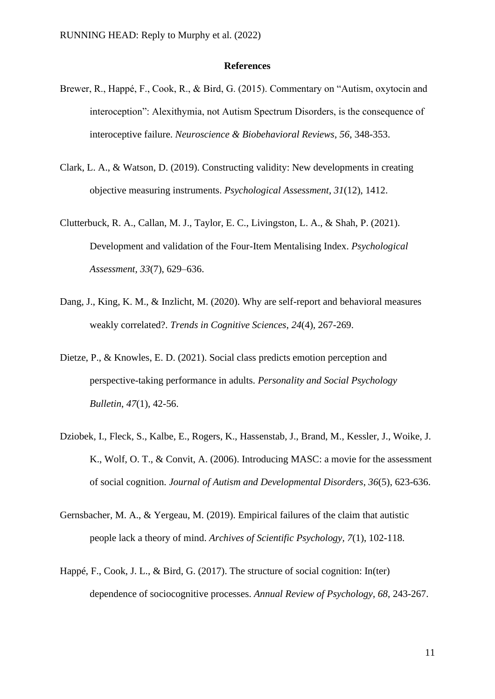#### **References**

- Brewer, R., Happé, F., Cook, R., & Bird, G. (2015). Commentary on "Autism, oxytocin and interoception": Alexithymia, not Autism Spectrum Disorders, is the consequence of interoceptive failure. *Neuroscience & Biobehavioral Reviews*, *56*, 348-353.
- Clark, L. A., & Watson, D. (2019). Constructing validity: New developments in creating objective measuring instruments. *Psychological Assessment*, *31*(12), 1412.
- Clutterbuck, R. A., Callan, M. J., Taylor, E. C., Livingston, L. A., & Shah, P. (2021). Development and validation of the Four-Item Mentalising Index. *Psychological Assessment, 33*(7), 629–636.
- Dang, J., King, K. M., & Inzlicht, M. (2020). Why are self-report and behavioral measures weakly correlated?. *Trends in Cognitive Sciences*, *24*(4), 267-269.
- Dietze, P., & Knowles, E. D. (2021). Social class predicts emotion perception and perspective-taking performance in adults. *Personality and Social Psychology Bulletin*, *47*(1), 42-56.
- Dziobek, I., Fleck, S., Kalbe, E., Rogers, K., Hassenstab, J., Brand, M., Kessler, J., Woike, J. K., Wolf, O. T., & Convit, A. (2006). Introducing MASC: a movie for the assessment of social cognition. *Journal of Autism and Developmental Disorders*, *36*(5), 623-636.
- Gernsbacher, M. A., & Yergeau, M. (2019). Empirical failures of the claim that autistic people lack a theory of mind. *Archives of Scientific Psychology, 7*(1), 102-118.
- Happé, F., Cook, J. L., & Bird, G. (2017). The structure of social cognition: In(ter) dependence of sociocognitive processes. *Annual Review of Psychology*, *68*, 243-267.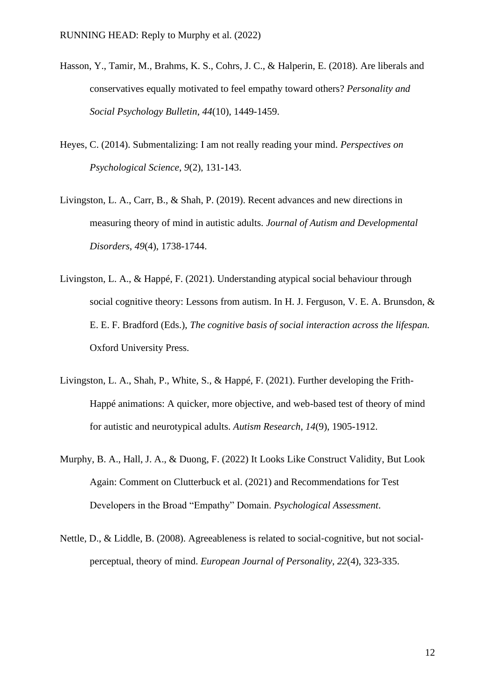- Hasson, Y., Tamir, M., Brahms, K. S., Cohrs, J. C., & Halperin, E. (2018). Are liberals and conservatives equally motivated to feel empathy toward others? *Personality and Social Psychology Bulletin*, *44*(10), 1449-1459.
- Heyes, C. (2014). Submentalizing: I am not really reading your mind. *Perspectives on Psychological Science*, *9*(2), 131-143.
- Livingston, L. A., Carr, B., & Shah, P. (2019). Recent advances and new directions in measuring theory of mind in autistic adults. *Journal of Autism and Developmental Disorders*, *49*(4), 1738-1744.
- Livingston, L. A., & Happé, F. (2021). Understanding atypical social behaviour through social cognitive theory: Lessons from autism. In H. J. Ferguson, V. E. A. Brunsdon, & E. E. F. Bradford (Eds.), *The cognitive basis of social interaction across the lifespan.* Oxford University Press.
- Livingston, L. A., Shah, P., White, S., & Happé, F. (2021). Further developing the Frith-Happé animations: A quicker, more objective, and web-based test of theory of mind for autistic and neurotypical adults. *Autism Research*, *14*(9), 1905-1912.
- Murphy, B. A., Hall, J. A., & Duong, F. (2022) It Looks Like Construct Validity, But Look Again: Comment on Clutterbuck et al. (2021) and Recommendations for Test Developers in the Broad "Empathy" Domain. *Psychological Assessment*.
- Nettle, D., & Liddle, B. (2008). Agreeableness is related to social‐cognitive, but not social‐ perceptual, theory of mind. *European Journal of Personality*, *22*(4), 323-335.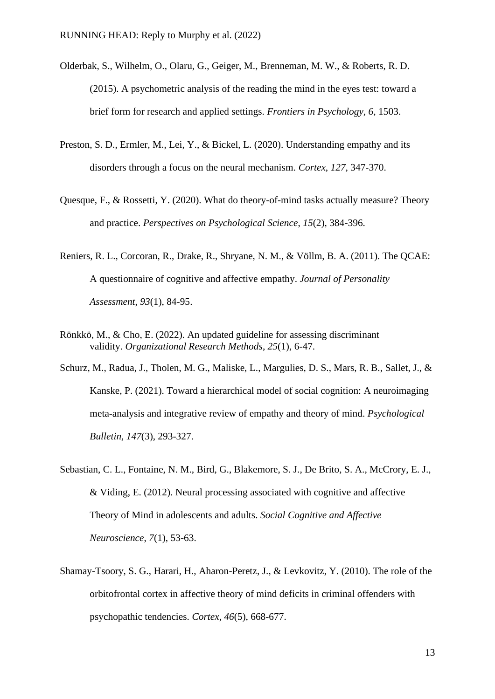- Olderbak, S., Wilhelm, O., Olaru, G., Geiger, M., Brenneman, M. W., & Roberts, R. D. (2015). A psychometric analysis of the reading the mind in the eyes test: toward a brief form for research and applied settings. *Frontiers in Psychology*, *6*, 1503.
- Preston, S. D., Ermler, M., Lei, Y., & Bickel, L. (2020). Understanding empathy and its disorders through a focus on the neural mechanism. *Cortex*, *127*, 347-370.
- Quesque, F., & Rossetti, Y. (2020). What do theory-of-mind tasks actually measure? Theory and practice. *Perspectives on Psychological Science*, *15*(2), 384-396.
- Reniers, R. L., Corcoran, R., Drake, R., Shryane, N. M., & Völlm, B. A. (2011). The QCAE: A questionnaire of cognitive and affective empathy. *Journal of Personality Assessment*, *93*(1), 84-95.
- Rönkkö, M., & Cho, E. (2022). An updated guideline for assessing discriminant validity. *Organizational Research Methods*, *25*(1), 6-47.
- Schurz, M., Radua, J., Tholen, M. G., Maliske, L., Margulies, D. S., Mars, R. B., Sallet, J., & Kanske, P. (2021). Toward a hierarchical model of social cognition: A neuroimaging meta-analysis and integrative review of empathy and theory of mind. *Psychological Bulletin, 147*(3), 293-327.
- Sebastian, C. L., Fontaine, N. M., Bird, G., Blakemore, S. J., De Brito, S. A., McCrory, E. J., & Viding, E. (2012). Neural processing associated with cognitive and affective Theory of Mind in adolescents and adults. *Social Cognitive and Affective Neuroscience*, *7*(1), 53-63.
- Shamay-Tsoory, S. G., Harari, H., Aharon-Peretz, J., & Levkovitz, Y. (2010). The role of the orbitofrontal cortex in affective theory of mind deficits in criminal offenders with psychopathic tendencies. *Cortex*, *46*(5), 668-677.